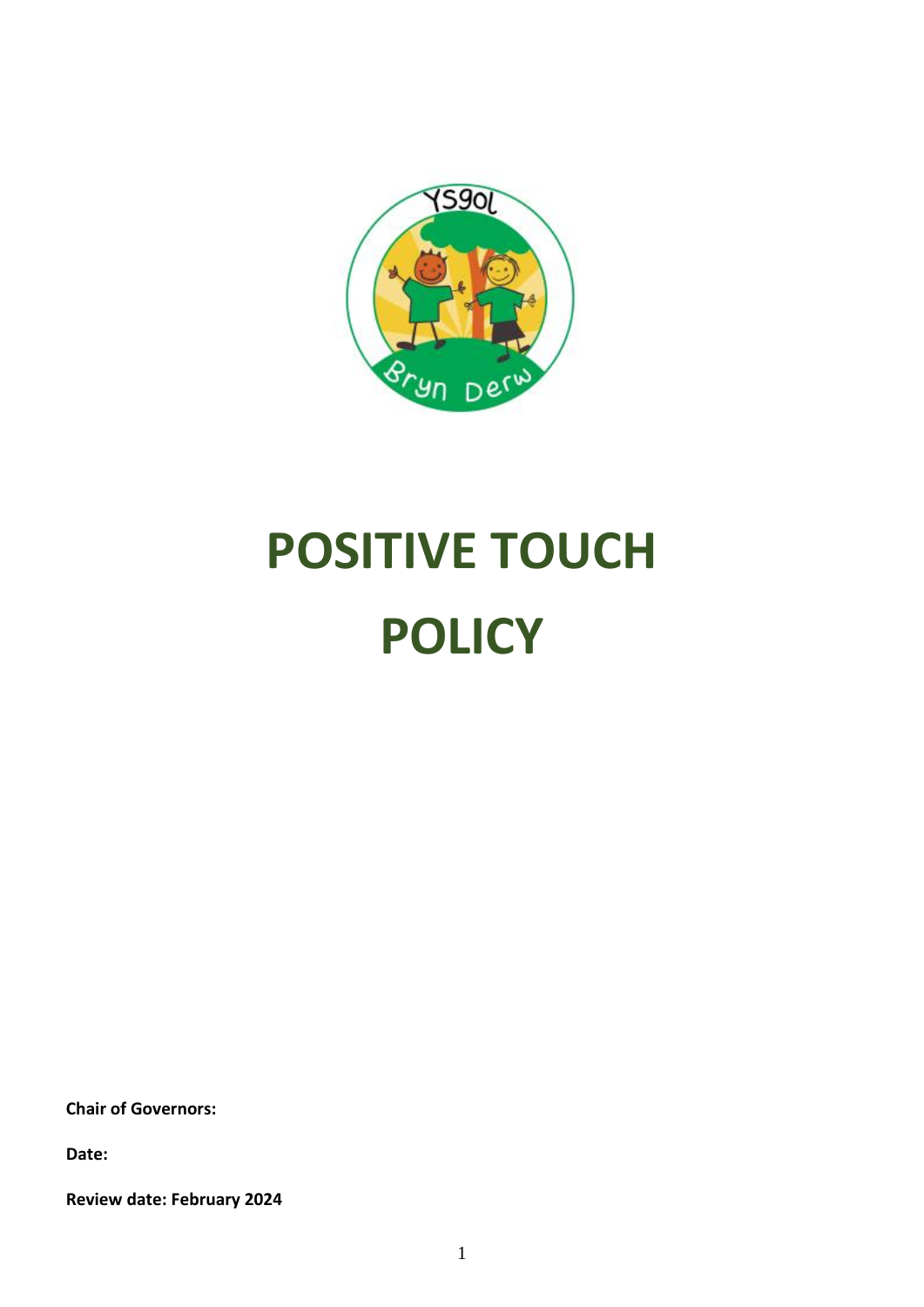

# **POSITIVE TOUCH POLICY**

**Chair of Governors:**

**Date:**

**Review date: February 2024**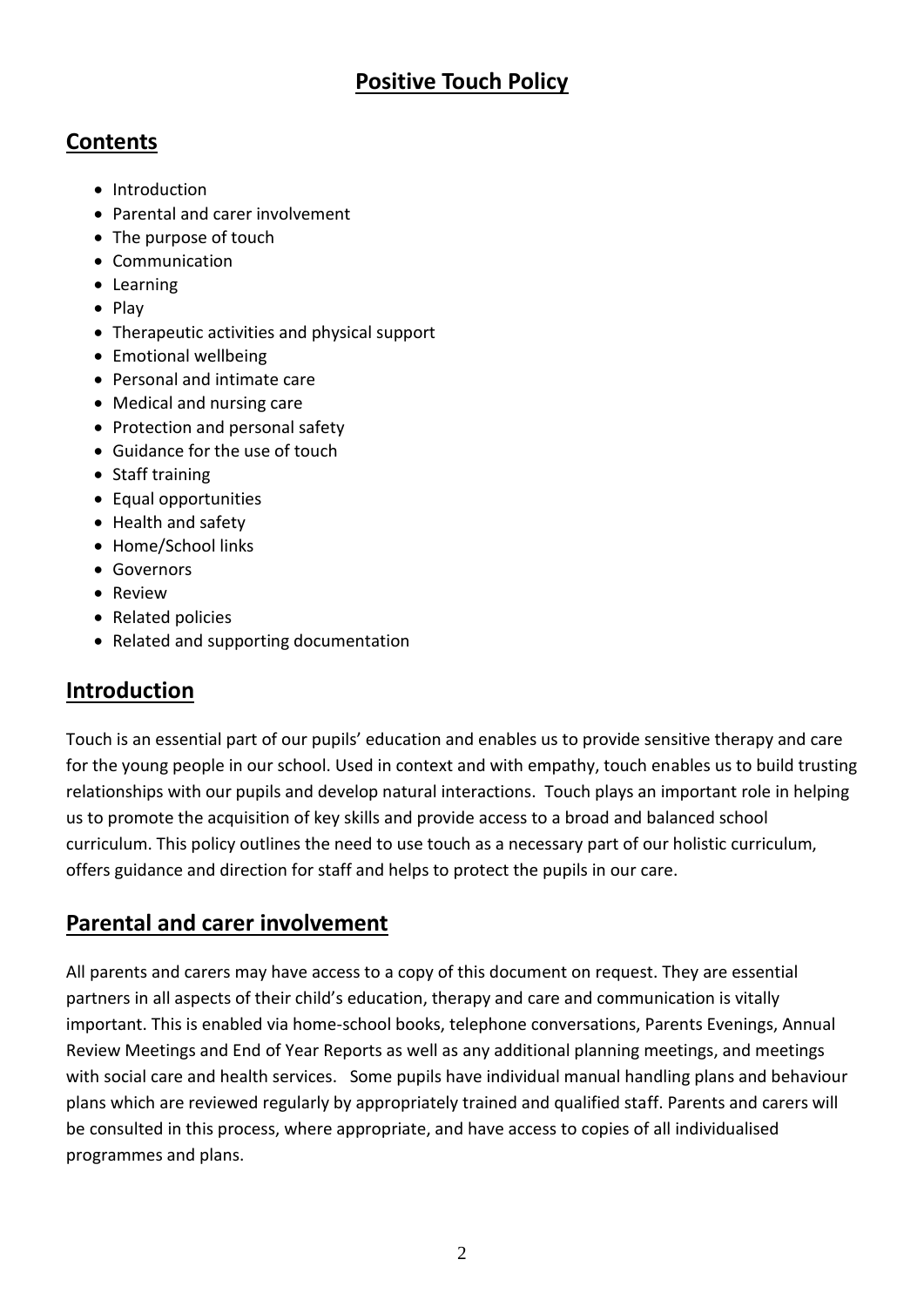# **Positive Touch Policy**

## **Contents**

- Introduction
- Parental and carer involvement
- The purpose of touch
- Communication
- Learning
- $\bullet$  Play
- Therapeutic activities and physical support
- Emotional wellbeing
- Personal and intimate care
- Medical and nursing care
- Protection and personal safety
- Guidance for the use of touch
- Staff training
- Equal opportunities
- Health and safety
- Home/School links
- Governors
- Review
- Related policies
- Related and supporting documentation

## **Introduction**

Touch is an essential part of our pupils' education and enables us to provide sensitive therapy and care for the young people in our school. Used in context and with empathy, touch enables us to build trusting relationships with our pupils and develop natural interactions. Touch plays an important role in helping us to promote the acquisition of key skills and provide access to a broad and balanced school curriculum. This policy outlines the need to use touch as a necessary part of our holistic curriculum, offers guidance and direction for staff and helps to protect the pupils in our care.

## **Parental and carer involvement**

All parents and carers may have access to a copy of this document on request. They are essential partners in all aspects of their child's education, therapy and care and communication is vitally important. This is enabled via home-school books, telephone conversations, Parents Evenings, Annual Review Meetings and End of Year Reports as well as any additional planning meetings, and meetings with social care and health services. Some pupils have individual manual handling plans and behaviour plans which are reviewed regularly by appropriately trained and qualified staff. Parents and carers will be consulted in this process, where appropriate, and have access to copies of all individualised programmes and plans.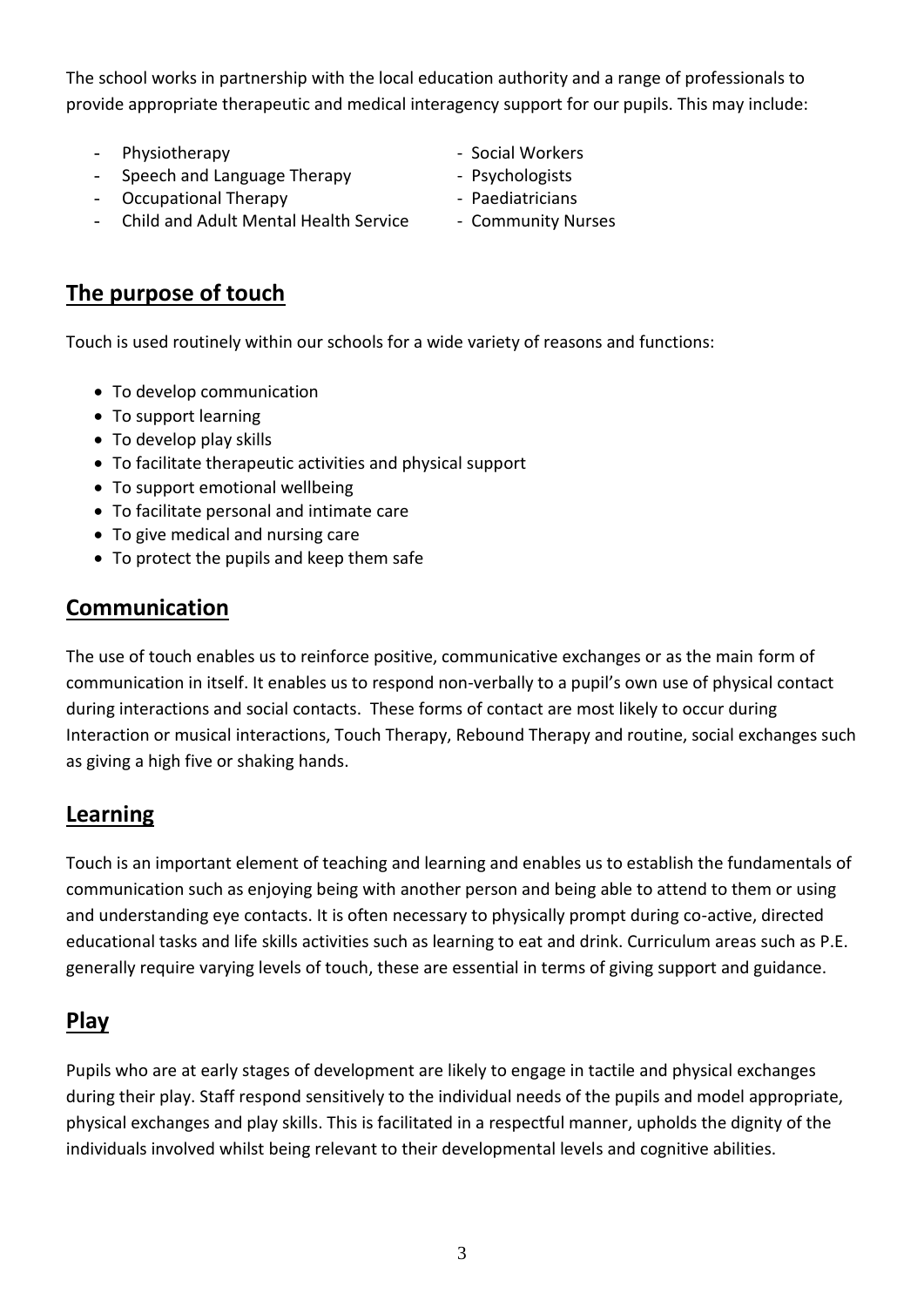The school works in partnership with the local education authority and a range of professionals to provide appropriate therapeutic and medical interagency support for our pupils. This may include:

- Physiotherapy **Exercise 2018** Social Workers
- Speech and Language Therapy Psychologists
- Occupational Therapy  **Paediatricians**
- Child and Adult Mental Health Service Community Nurses
- 
- 
- -

# **The purpose of touch**

Touch is used routinely within our schools for a wide variety of reasons and functions:

- To develop communication
- To support learning
- To develop play skills
- To facilitate therapeutic activities and physical support
- To support emotional wellbeing
- To facilitate personal and intimate care
- To give medical and nursing care
- To protect the pupils and keep them safe

## **Communication**

The use of touch enables us to reinforce positive, communicative exchanges or as the main form of communication in itself. It enables us to respond non-verbally to a pupil's own use of physical contact during interactions and social contacts. These forms of contact are most likely to occur during Interaction or musical interactions, Touch Therapy, Rebound Therapy and routine, social exchanges such as giving a high five or shaking hands.

# **Learning**

Touch is an important element of teaching and learning and enables us to establish the fundamentals of communication such as enjoying being with another person and being able to attend to them or using and understanding eye contacts. It is often necessary to physically prompt during co-active, directed educational tasks and life skills activities such as learning to eat and drink. Curriculum areas such as P.E. generally require varying levels of touch, these are essential in terms of giving support and guidance.

# **Play**

Pupils who are at early stages of development are likely to engage in tactile and physical exchanges during their play. Staff respond sensitively to the individual needs of the pupils and model appropriate, physical exchanges and play skills. This is facilitated in a respectful manner, upholds the dignity of the individuals involved whilst being relevant to their developmental levels and cognitive abilities.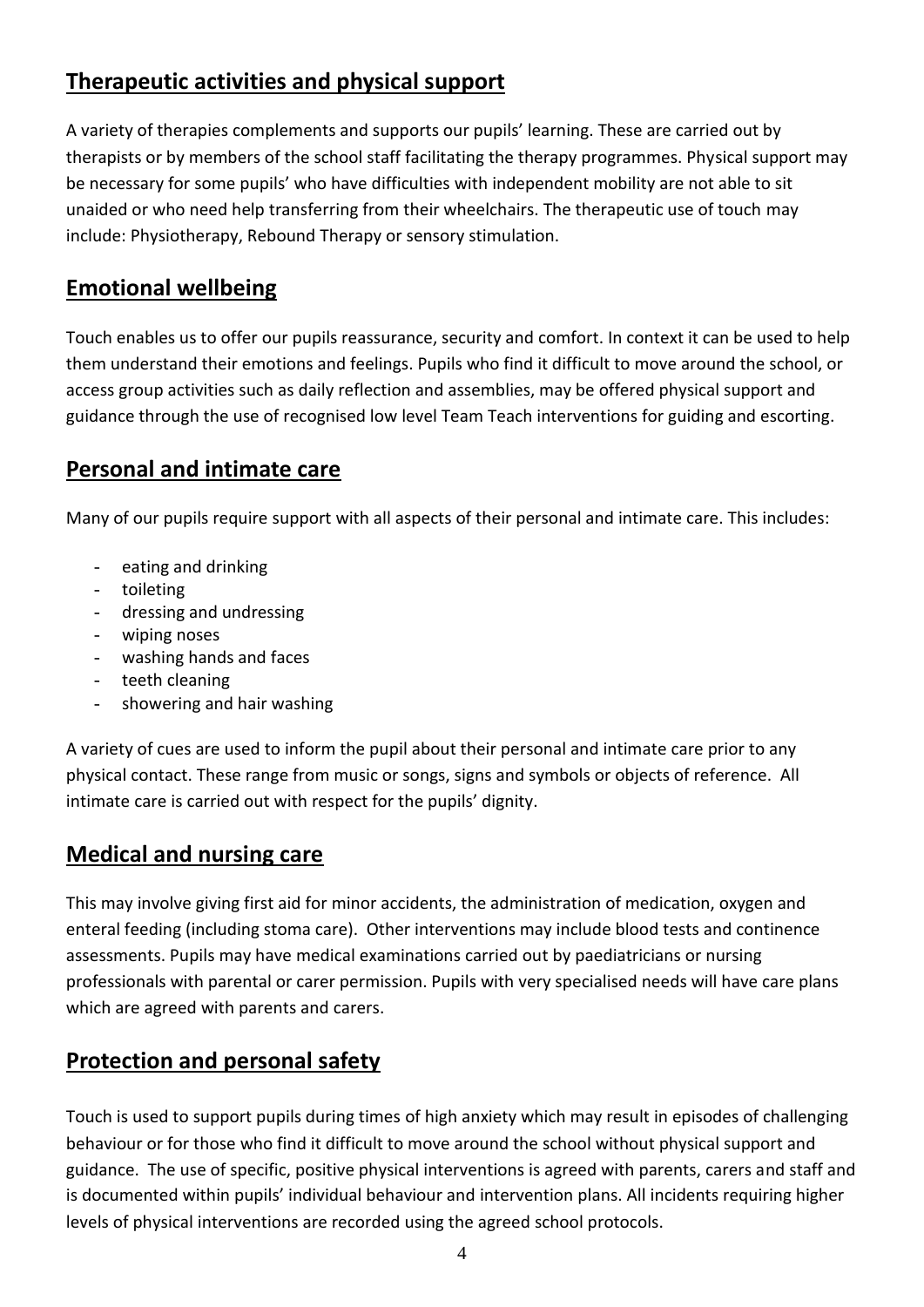# **Therapeutic activities and physical support**

A variety of therapies complements and supports our pupils' learning. These are carried out by therapists or by members of the school staff facilitating the therapy programmes. Physical support may be necessary for some pupils' who have difficulties with independent mobility are not able to sit unaided or who need help transferring from their wheelchairs. The therapeutic use of touch may include: Physiotherapy, Rebound Therapy or sensory stimulation.

#### **Emotional wellbeing**

Touch enables us to offer our pupils reassurance, security and comfort. In context it can be used to help them understand their emotions and feelings. Pupils who find it difficult to move around the school, or access group activities such as daily reflection and assemblies, may be offered physical support and guidance through the use of recognised low level Team Teach interventions for guiding and escorting.

#### **Personal and intimate care**

Many of our pupils require support with all aspects of their personal and intimate care. This includes:

- eating and drinking
- toileting
- dressing and undressing
- wiping noses
- washing hands and faces
- teeth cleaning
- showering and hair washing

A variety of cues are used to inform the pupil about their personal and intimate care prior to any physical contact. These range from music or songs, signs and symbols or objects of reference. All intimate care is carried out with respect for the pupils' dignity.

#### **Medical and nursing care**

This may involve giving first aid for minor accidents, the administration of medication, oxygen and enteral feeding (including stoma care). Other interventions may include blood tests and continence assessments. Pupils may have medical examinations carried out by paediatricians or nursing professionals with parental or carer permission. Pupils with very specialised needs will have care plans which are agreed with parents and carers.

## **Protection and personal safety**

Touch is used to support pupils during times of high anxiety which may result in episodes of challenging behaviour or for those who find it difficult to move around the school without physical support and guidance. The use of specific, positive physical interventions is agreed with parents, carers and staff and is documented within pupils' individual behaviour and intervention plans. All incidents requiring higher levels of physical interventions are recorded using the agreed school protocols.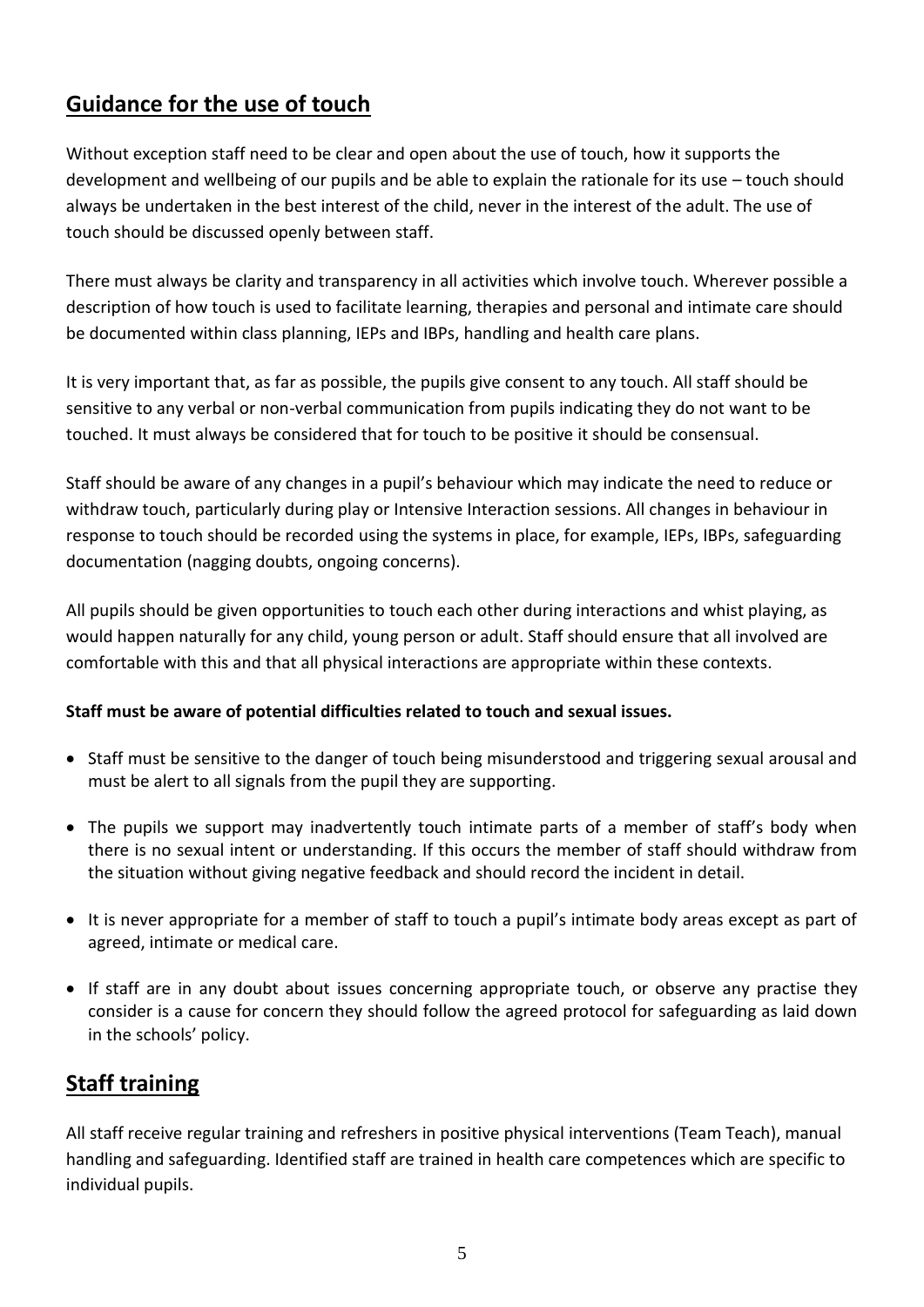# **Guidance for the use of touch**

Without exception staff need to be clear and open about the use of touch, how it supports the development and wellbeing of our pupils and be able to explain the rationale for its use – touch should always be undertaken in the best interest of the child, never in the interest of the adult. The use of touch should be discussed openly between staff.

There must always be clarity and transparency in all activities which involve touch. Wherever possible a description of how touch is used to facilitate learning, therapies and personal and intimate care should be documented within class planning, IEPs and IBPs, handling and health care plans.

It is very important that, as far as possible, the pupils give consent to any touch. All staff should be sensitive to any verbal or non-verbal communication from pupils indicating they do not want to be touched. It must always be considered that for touch to be positive it should be consensual.

Staff should be aware of any changes in a pupil's behaviour which may indicate the need to reduce or withdraw touch, particularly during play or Intensive Interaction sessions. All changes in behaviour in response to touch should be recorded using the systems in place, for example, IEPs, IBPs, safeguarding documentation (nagging doubts, ongoing concerns).

All pupils should be given opportunities to touch each other during interactions and whist playing, as would happen naturally for any child, young person or adult. Staff should ensure that all involved are comfortable with this and that all physical interactions are appropriate within these contexts.

#### **Staff must be aware of potential difficulties related to touch and sexual issues.**

- Staff must be sensitive to the danger of touch being misunderstood and triggering sexual arousal and must be alert to all signals from the pupil they are supporting.
- The pupils we support may inadvertently touch intimate parts of a member of staff's body when there is no sexual intent or understanding. If this occurs the member of staff should withdraw from the situation without giving negative feedback and should record the incident in detail.
- It is never appropriate for a member of staff to touch a pupil's intimate body areas except as part of agreed, intimate or medical care.
- If staff are in any doubt about issues concerning appropriate touch, or observe any practise they consider is a cause for concern they should follow the agreed protocol for safeguarding as laid down in the schools' policy.

## **Staff training**

All staff receive regular training and refreshers in positive physical interventions (Team Teach), manual handling and safeguarding. Identified staff are trained in health care competences which are specific to individual pupils.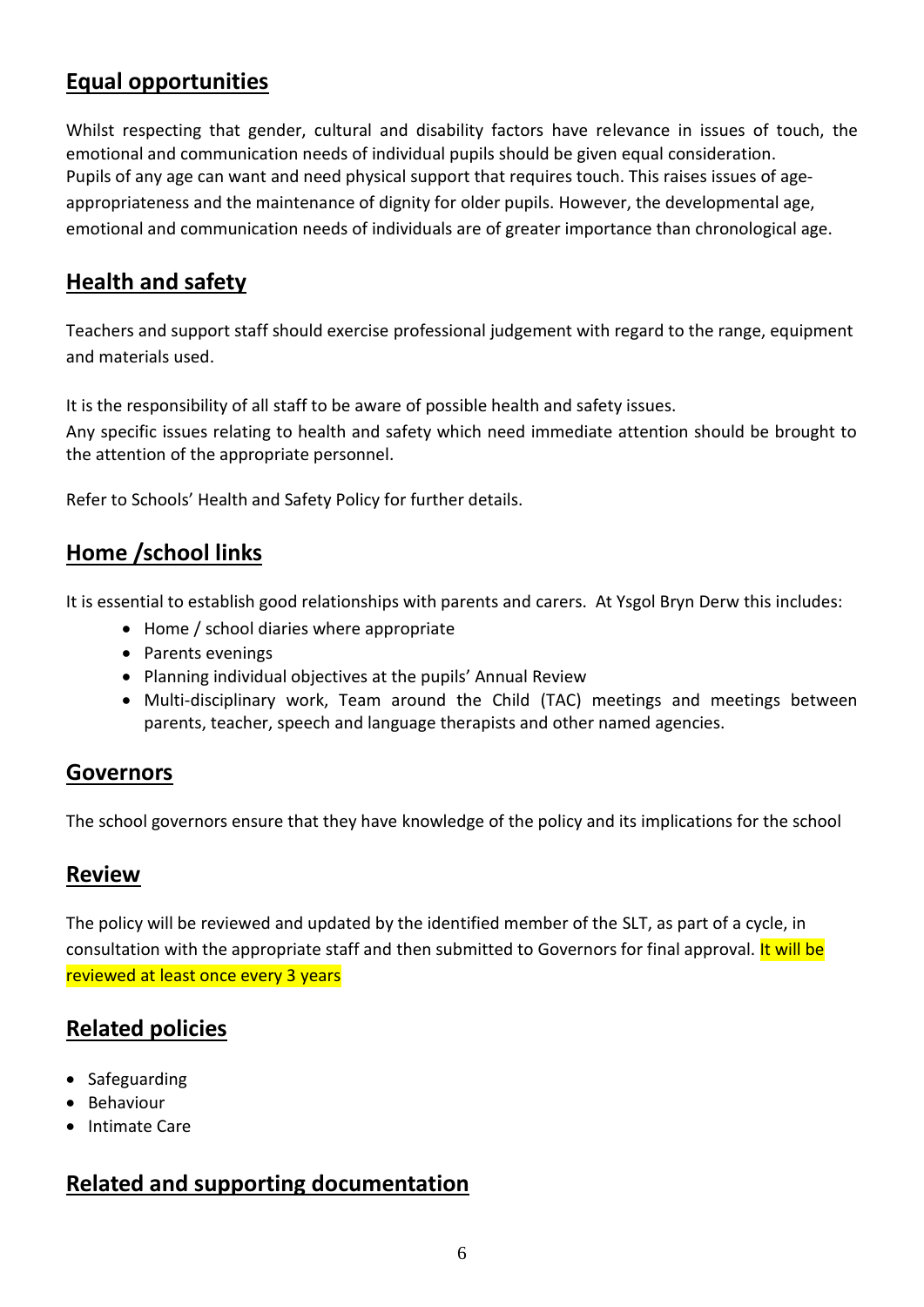# **Equal opportunities**

Whilst respecting that gender, cultural and disability factors have relevance in issues of touch, the emotional and communication needs of individual pupils should be given equal consideration. Pupils of any age can want and need physical support that requires touch. This raises issues of ageappropriateness and the maintenance of dignity for older pupils. However, the developmental age, emotional and communication needs of individuals are of greater importance than chronological age.

#### **Health and safety**

Teachers and support staff should exercise professional judgement with regard to the range, equipment and materials used.

It is the responsibility of all staff to be aware of possible health and safety issues.

Any specific issues relating to health and safety which need immediate attention should be brought to the attention of the appropriate personnel.

Refer to Schools' Health and Safety Policy for further details.

## **Home /school links**

It is essential to establish good relationships with parents and carers. At Ysgol Bryn Derw this includes:

- Home / school diaries where appropriate
- Parents evenings
- Planning individual objectives at the pupils' Annual Review
- Multi-disciplinary work, Team around the Child (TAC) meetings and meetings between parents, teacher, speech and language therapists and other named agencies.

#### **Governors**

The school governors ensure that they have knowledge of the policy and its implications for the school

#### **Review**

The policy will be reviewed and updated by the identified member of the SLT, as part of a cycle, in consultation with the appropriate staff and then submitted to Governors for final approval. It will be reviewed at least once every 3 years

# **Related policies**

- Safeguarding
- Behaviour
- Intimate Care

## **Related and supporting documentation**